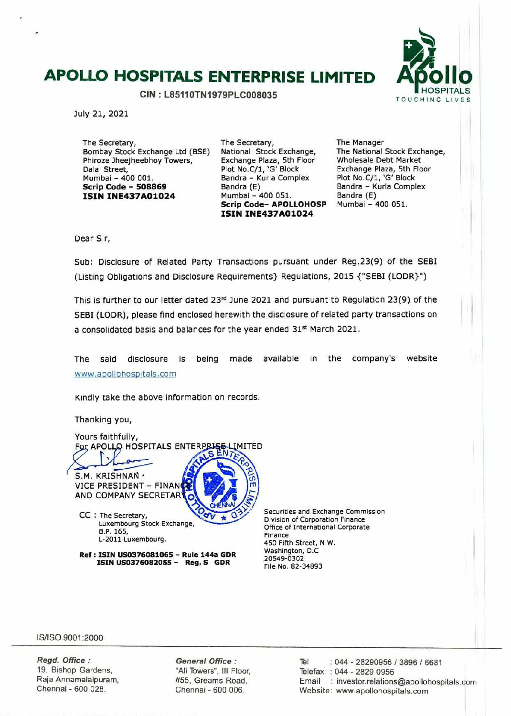# **APOLLO HOSPITALS ENTERPRISE LIMITED**

**CIN: L85110TN1979PLC008035** 



July 21, 2021

The Secretary, Bombay Stock Exchange Ltd (BSE) Phiroze Jheejheebhoy Towers, Dalal Street, Mumbai - 400 001. **Scrip Code** - **<sup>508869</sup> ISIN INE437AO1O24** 

The Secretary, National Stock Exchange, Exchange Plaza, 5th Floor Plot No.C/1, 'G' Block Bandra - Kurla Complex Bandra (E) Mumbai - 400 051. **Scrip Code- APOLLOHOSP ISIN INE437AO1O24** 

The Manager The National Stock Exchange, Wholesale Debt Market Exchange Plaza, 5th Floor Plot No.C/1, 'G' Block Bandra - Kurla Complex Bandra (E) Mumbai - 400 051.

Dear Sir,

Sub: Disclosure of Related Party Transactions pursuant under Reg.23(9) of the SEBI (Listing Obligations and Disclosure Requirements} Regulations, 2015 {'SEBI (LODR}")

This is further to our letter dated  $23<sup>rd</sup>$  June 2021 and pursuant to Regulation 23(9) of the SEBI (LODR), please find enclosed herewith the disclosure of related party transactions on a consolidated basis and balances for the year ended 31st March 2021.

The said disclosure is being made available in the company's website www.apollohospitals.com

Kindly take the above information on records.

Thanking you,

Yours faithfully, For APOLLO HOSPITALS ENTERPRISE LIMITED S.M. KRISHNAN · VICE PRESIDENT - FINANCE AND COMPANY SECRETAR CC : The Secretary, Luxembourg Stock Exchange, B.P. 165, L-2011 Luxembourg.

**Ref: ISIN LJ50376081065 — Rule 144a GDR ISIN US0376082055 — Reg. S GOR** 

Securities and Exchange Commission Division of Corporation Finance Office of International Corporate Finance 450 Fifth Street, N.W. Washington, D.C 20549 -0302 File No. 82-34893

IS/ISO 9001:2000

Regd. Office: 19, Bishop Gardens, Raja Annamalaipuram, Chennal - 600 028.

General Office : "Ali Towers", Ill Floor, #55, Greams Road, Chennai - 600 006.

Tel : 044 - 28290956 / 3896 / 6681 Telefax : 044 - 2829 0956 Email : investor.relations@apollohospjtals.corn Website: www.apolIohospitals.com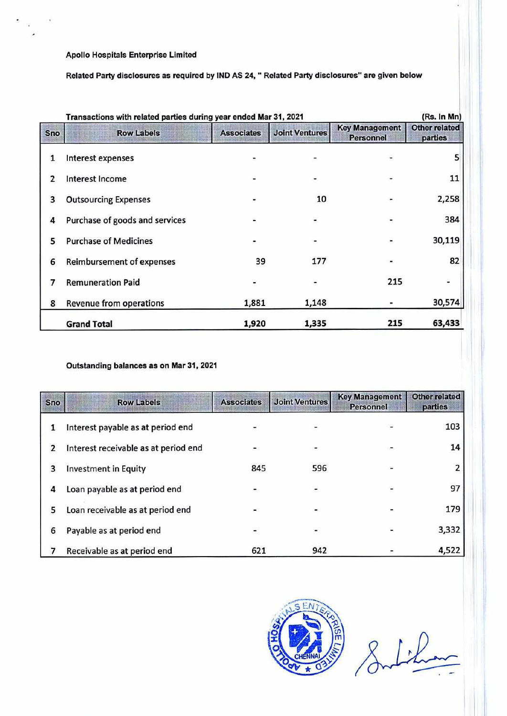Apollo Hospitals Enterprise Limited

Related Party disclosures as required by lND AS 24, " Related Party disclosures" are given below

| (Rs. In Mn)<br>Transactions with related parties during year ended Mar 31, 2021 |                                  |                   |                       |                                           |                                 |  |
|---------------------------------------------------------------------------------|----------------------------------|-------------------|-----------------------|-------------------------------------------|---------------------------------|--|
| Sno                                                                             | <b>Row Labels</b>                | <b>Associates</b> | <b>Joint Ventures</b> | <b>Key Management</b><br><b>Personnel</b> | <b>Other related</b><br>parties |  |
| 1                                                                               | Interest expenses                |                   |                       |                                           | 5                               |  |
| 2                                                                               | <b>Interest Income</b>           |                   |                       |                                           | 11                              |  |
| 3                                                                               | <b>Outsourcing Expenses</b>      |                   | 10                    |                                           | 2,258                           |  |
| 4                                                                               | Purchase of goods and services   |                   | $\frac{1}{2}$         |                                           | 384                             |  |
| 5                                                                               | <b>Purchase of Medicines</b>     |                   |                       |                                           | 30,119                          |  |
| 6                                                                               | <b>Reimbursement of expenses</b> | 39                | 177                   |                                           | 82                              |  |
| 7                                                                               | <b>Remuneration Paid</b>         |                   | -                     | 215                                       | -                               |  |
| 8                                                                               | Revenue from operations          | 1,881             | 1,148                 |                                           | 30,574                          |  |
|                                                                                 | <b>Grand Total</b>               | 1,920             | 1,335                 | 215                                       | 63,433                          |  |

# Outstanding balances as on Mar 31, 2021

| <b>Sno</b> | <b>Row Labels</b>                    | <b>Associates</b> | <b>Joint Ventures</b> | <b>Key Management</b><br><b>Personnel</b> | <b>Other related</b><br>parties |
|------------|--------------------------------------|-------------------|-----------------------|-------------------------------------------|---------------------------------|
|            | Interest payable as at period end    |                   |                       |                                           | 103                             |
| 2          | Interest receivable as at period end |                   |                       |                                           | 14                              |
| 3          | <b>Investment in Equity</b>          | 845               | 596                   |                                           |                                 |
| 4          | Loan payable as at period end        |                   |                       |                                           | 97                              |
| 5          | Loan receivable as at period end     |                   |                       |                                           | 179                             |
| 6          | Payable as at period end             |                   |                       |                                           | 3,332                           |
|            | Receivable as at period end          | 621               | 942                   |                                           | 4,522                           |



Indi<u>tion</u>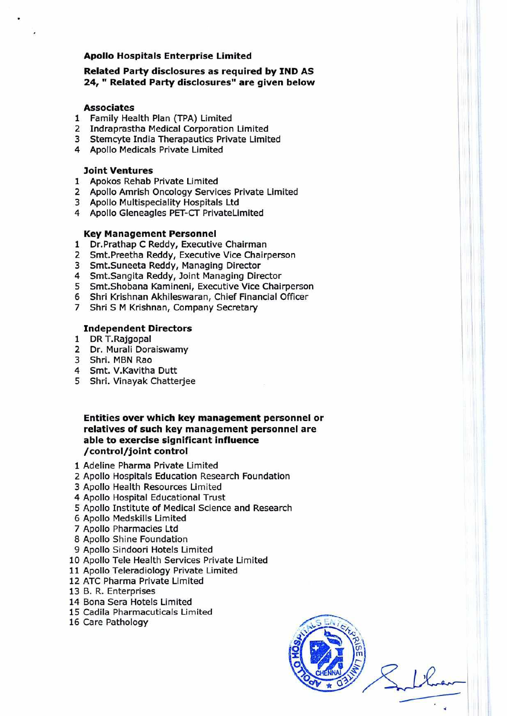# **Apollo Hospitals Enterprise Limited**

# **Related Party disclosures as required by IND AS**  24, " Related Party disclosures" are given below

#### **Associates**

- 1 Family Health Plan (TPA) Limited
- 2 Indraprastha Medical Corporation Limited
- 3 Stemcyte India Therapautics Private Limited
- 4 Apollo Medicals Private Limited

### **Joint Ventures**

- 1 Apokos Rehab Private Limited
- 2 Apollo Amrish Oncology Services Private Limited
- 3 Apollo Multispeciality Hospitals Ltd
- 4 Apollo Gleneagles PET-CT PrivateLimited

#### **Key Management Personnel**

- 1 Dr.Prathap C Reddy, Executive Chairman
- 2 Smt.Preetha Reddy, Executive Vice Chairperson
- 3 Smt.Suneeta Reddy, Managing Director
- 4 Smt.Sangita Reddy, Joint Managing Director
- 5 Smt.Shobana Kamineni, Executive Vice Chairperson
- 6 Shri Krishnan Akhileswaran, Chief Financial Officer
- 7 Shri S M Krishnan, Company Secretary

#### **Independent Directors**

- 1 DRT.Rajgopal
- 2 Dr. Murali Doraiswamy
- 3 Shri. MBN Rao
- 4 Smt. V.Kavitha Dutt
- 5 Shri. Vinayak Chatterjee

# **Entities over which key management personnel or relatives of such key management personnel are able to exercise significant influence /control/joint control**

- 1 Adeline Pharma Private Limited
- 2 Apollo Hospitals Education Research Foundation
- 3 Apollo Health Resources Limited
- 4 Apollo Hospital Educational Trust
- 5 Apollo Institute of Medical Science and Research
- 6 Apollo Medskills Limited
- 7 Apollo Pharmacies Ltd
- 8 Apollo Shine Foundation
- 9 Apollo Sindoori Hotels Limited
- 10 Apollo Tele Health Services Private Limited
- 11 Apollo Teleradiology Private Limited
- 12 ATC Pharma Private Limited
- 13 B. R. Enterprises
- 14 Bona Sera Hotels Limited
- 15 Cadila Pharmacuticals Limited
- 16 Care Pathology